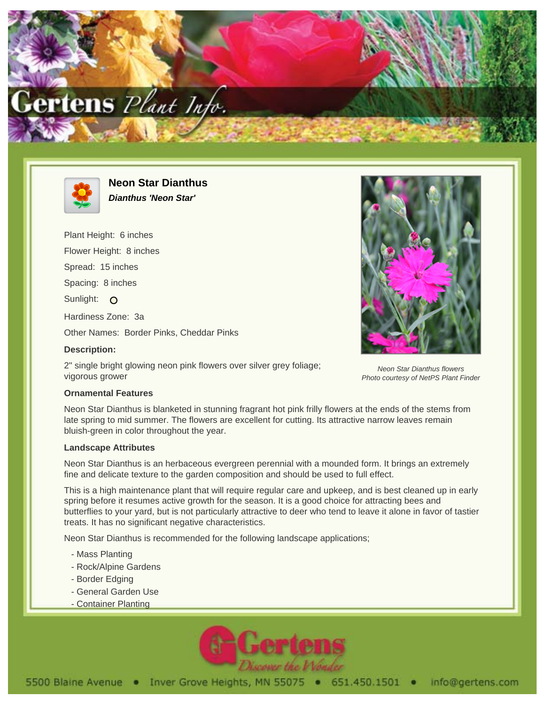



**Neon Star Dianthus Dianthus 'Neon Star'**

Plant Height: 6 inches Flower Height: 8 inches Spread: 15 inches Spacing: 8 inches Sunlight: O Hardiness Zone: 3a Other Names: Border Pinks, Cheddar Pinks **Description:**

2" single bright glowing neon pink flowers over silver grey foliage; vigorous grower

## **Ornamental Features**

Neon Star Dianthus is blanketed in stunning fragrant hot pink frilly flowers at the ends of the stems from late spring to mid summer. The flowers are excellent for cutting. Its attractive narrow leaves remain bluish-green in color throughout the year.

## **Landscape Attributes**

Neon Star Dianthus is an herbaceous evergreen perennial with a mounded form. It brings an extremely fine and delicate texture to the garden composition and should be used to full effect.

This is a high maintenance plant that will require regular care and upkeep, and is best cleaned up in early spring before it resumes active growth for the season. It is a good choice for attracting bees and butterflies to your yard, but is not particularly attractive to deer who tend to leave it alone in favor of tastier treats. It has no significant negative characteristics.

Neon Star Dianthus is recommended for the following landscape applications;

- Mass Planting
- Rock/Alpine Gardens
- Border Edging
- General Garden Use
- Container Planting





Neon Star Dianthus flowers Photo courtesy of NetPS Plant Finder